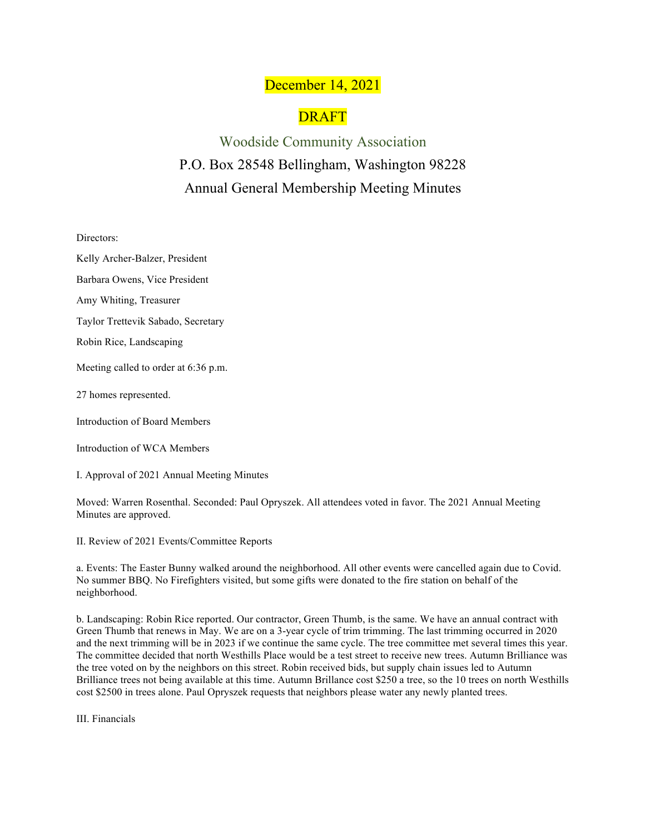#### December 14, 2021

### DRAFT

Woodside Community Association P.O. Box 28548 Bellingham, Washington 98228 Annual General Membership Meeting Minutes

Directors:

Kelly Archer-Balzer, President

Barbara Owens, Vice President

Amy Whiting, Treasurer

Taylor Trettevik Sabado, Secretary

Robin Rice, Landscaping

Meeting called to order at 6:36 p.m.

27 homes represented.

Introduction of Board Members

Introduction of WCA Members

I. Approval of 2021 Annual Meeting Minutes

Moved: Warren Rosenthal. Seconded: Paul Opryszek. All attendees voted in favor. The 2021 Annual Meeting Minutes are approved.

II. Review of 2021 Events/Committee Reports

a. Events: The Easter Bunny walked around the neighborhood. All other events were cancelled again due to Covid. No summer BBQ. No Firefighters visited, but some gifts were donated to the fire station on behalf of the neighborhood.

b. Landscaping: Robin Rice reported. Our contractor, Green Thumb, is the same. We have an annual contract with Green Thumb that renews in May. We are on a 3-year cycle of trim trimming. The last trimming occurred in 2020 and the next trimming will be in 2023 if we continue the same cycle. The tree committee met several times this year. The committee decided that north Westhills Place would be a test street to receive new trees. Autumn Brilliance was the tree voted on by the neighbors on this street. Robin received bids, but supply chain issues led to Autumn Brilliance trees not being available at this time. Autumn Brillance cost \$250 a tree, so the 10 trees on north Westhills cost \$2500 in trees alone. Paul Opryszek requests that neighbors please water any newly planted trees.

III. Financials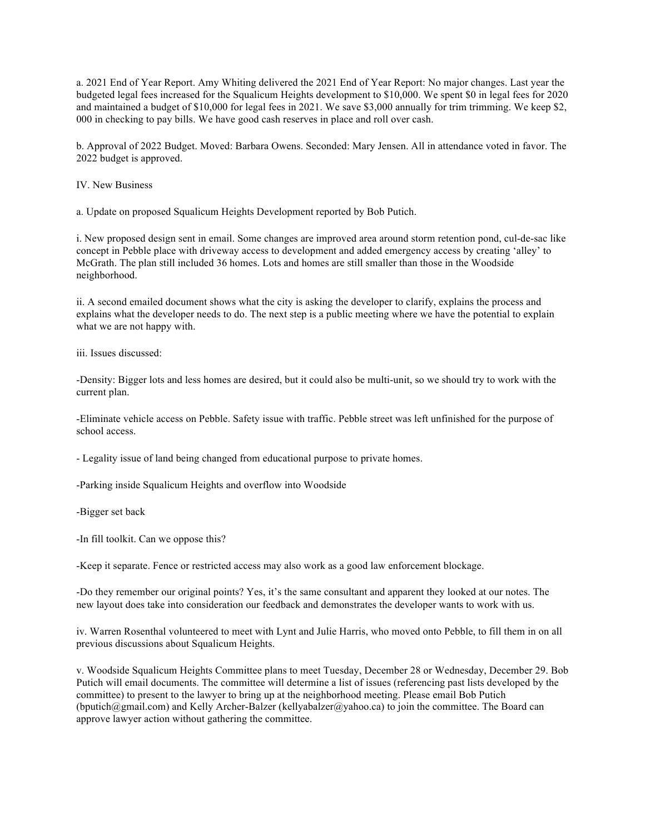a. 2021 End of Year Report. Amy Whiting delivered the 2021 End of Year Report: No major changes. Last year the budgeted legal fees increased for the Squalicum Heights development to \$10,000. We spent \$0 in legal fees for 2020 and maintained a budget of \$10,000 for legal fees in 2021. We save \$3,000 annually for trim trimming. We keep \$2, 000 in checking to pay bills. We have good cash reserves in place and roll over cash.

b. Approval of 2022 Budget. Moved: Barbara Owens. Seconded: Mary Jensen. All in attendance voted in favor. The 2022 budget is approved.

IV. New Business

a. Update on proposed Squalicum Heights Development reported by Bob Putich.

i. New proposed design sent in email. Some changes are improved area around storm retention pond, cul-de-sac like concept in Pebble place with driveway access to development and added emergency access by creating 'alley' to McGrath. The plan still included 36 homes. Lots and homes are still smaller than those in the Woodside neighborhood.

ii. A second emailed document shows what the city is asking the developer to clarify, explains the process and explains what the developer needs to do. The next step is a public meeting where we have the potential to explain what we are not happy with.

iii. Issues discussed:

-Density: Bigger lots and less homes are desired, but it could also be multi-unit, so we should try to work with the current plan.

-Eliminate vehicle access on Pebble. Safety issue with traffic. Pebble street was left unfinished for the purpose of school access.

- Legality issue of land being changed from educational purpose to private homes.

-Parking inside Squalicum Heights and overflow into Woodside

-Bigger set back

-In fill toolkit. Can we oppose this?

-Keep it separate. Fence or restricted access may also work as a good law enforcement blockage.

-Do they remember our original points? Yes, it's the same consultant and apparent they looked at our notes. The new layout does take into consideration our feedback and demonstrates the developer wants to work with us.

iv. Warren Rosenthal volunteered to meet with Lynt and Julie Harris, who moved onto Pebble, to fill them in on all previous discussions about Squalicum Heights.

v. Woodside Squalicum Heights Committee plans to meet Tuesday, December 28 or Wednesday, December 29. Bob Putich will email documents. The committee will determine a list of issues (referencing past lists developed by the committee) to present to the lawyer to bring up at the neighborhood meeting. Please email Bob Putich (bputich@gmail.com) and Kelly Archer-Balzer (kellyabalzer@yahoo.ca) to join the committee. The Board can approve lawyer action without gathering the committee.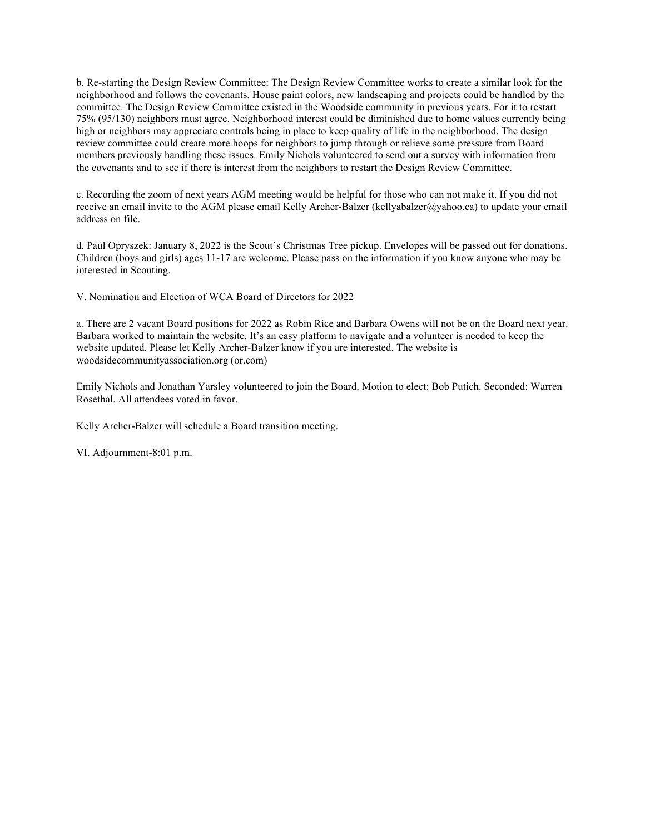b. Re-starting the Design Review Committee: The Design Review Committee works to create a similar look for the neighborhood and follows the covenants. House paint colors, new landscaping and projects could be handled by the committee. The Design Review Committee existed in the Woodside community in previous years. For it to restart 75% (95/130) neighbors must agree. Neighborhood interest could be diminished due to home values currently being high or neighbors may appreciate controls being in place to keep quality of life in the neighborhood. The design review committee could create more hoops for neighbors to jump through or relieve some pressure from Board members previously handling these issues. Emily Nichols volunteered to send out a survey with information from the covenants and to see if there is interest from the neighbors to restart the Design Review Committee.

c. Recording the zoom of next years AGM meeting would be helpful for those who can not make it. If you did not receive an email invite to the AGM please email Kelly Archer-Balzer (kellyabalzer@yahoo.ca) to update your email address on file.

d. Paul Opryszek: January 8, 2022 is the Scout's Christmas Tree pickup. Envelopes will be passed out for donations. Children (boys and girls) ages 11-17 are welcome. Please pass on the information if you know anyone who may be interested in Scouting.

V. Nomination and Election of WCA Board of Directors for 2022

a. There are 2 vacant Board positions for 2022 as Robin Rice and Barbara Owens will not be on the Board next year. Barbara worked to maintain the website. It's an easy platform to navigate and a volunteer is needed to keep the website updated. Please let Kelly Archer-Balzer know if you are interested. The website is woodsidecommunityassociation.org (or.com)

Emily Nichols and Jonathan Yarsley volunteered to join the Board. Motion to elect: Bob Putich. Seconded: Warren Rosethal. All attendees voted in favor.

Kelly Archer-Balzer will schedule a Board transition meeting.

VI. Adjournment-8:01 p.m.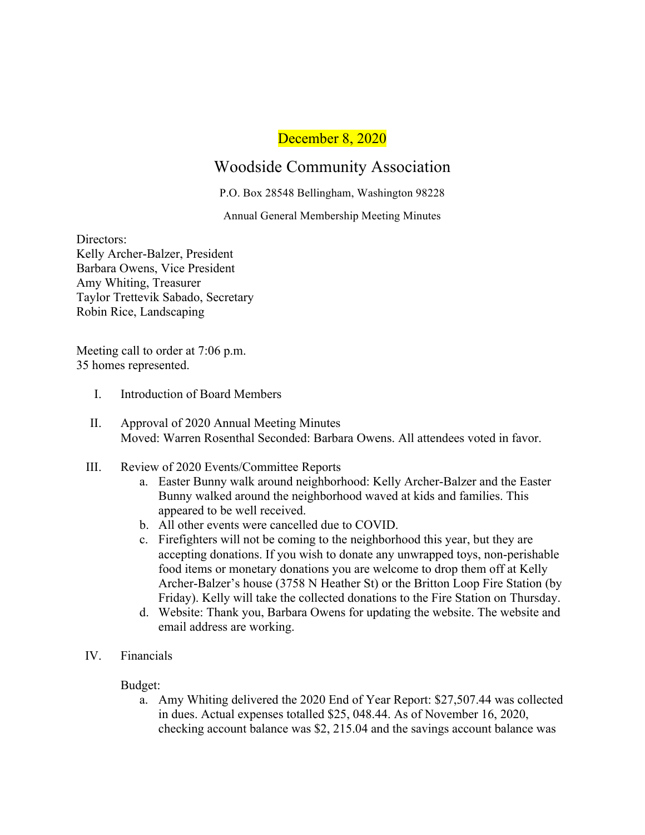#### December 8, 2020

## Woodside Community Association

P.O. Box 28548 Bellingham, Washington 98228

Annual General Membership Meeting Minutes

Directors: Kelly Archer-Balzer, President Barbara Owens, Vice President Amy Whiting, Treasurer Taylor Trettevik Sabado, Secretary Robin Rice, Landscaping

Meeting call to order at 7:06 p.m. 35 homes represented.

- I. Introduction of Board Members
- II. Approval of 2020 Annual Meeting Minutes Moved: Warren Rosenthal Seconded: Barbara Owens. All attendees voted in favor.
- III. Review of 2020 Events/Committee Reports
	- a. Easter Bunny walk around neighborhood: Kelly Archer-Balzer and the Easter Bunny walked around the neighborhood waved at kids and families. This appeared to be well received.
	- b. All other events were cancelled due to COVID.
	- c. Firefighters will not be coming to the neighborhood this year, but they are accepting donations. If you wish to donate any unwrapped toys, non-perishable food items or monetary donations you are welcome to drop them off at Kelly Archer-Balzer's house (3758 N Heather St) or the Britton Loop Fire Station (by Friday). Kelly will take the collected donations to the Fire Station on Thursday.
	- d. Website: Thank you, Barbara Owens for updating the website. The website and email address are working.
- IV. Financials

Budget:

a. Amy Whiting delivered the 2020 End of Year Report: \$27,507.44 was collected in dues. Actual expenses totalled \$25, 048.44. As of November 16, 2020, checking account balance was \$2, 215.04 and the savings account balance was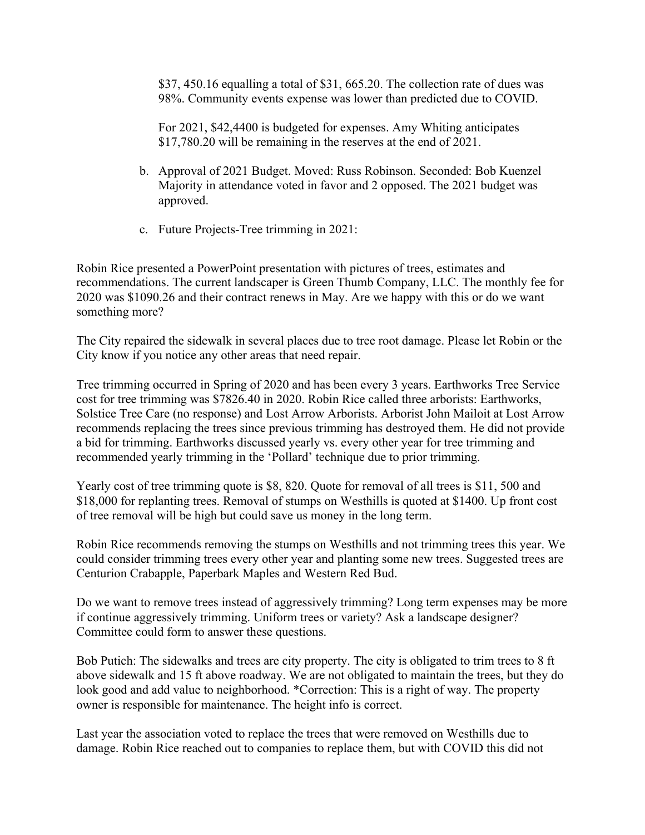\$37, 450.16 equalling a total of \$31, 665.20. The collection rate of dues was 98%. Community events expense was lower than predicted due to COVID.

For 2021, \$42,4400 is budgeted for expenses. Amy Whiting anticipates \$17,780.20 will be remaining in the reserves at the end of 2021.

- b. Approval of 2021 Budget. Moved: Russ Robinson. Seconded: Bob Kuenzel Majority in attendance voted in favor and 2 opposed. The 2021 budget was approved.
- c. Future Projects-Tree trimming in 2021:

Robin Rice presented a PowerPoint presentation with pictures of trees, estimates and recommendations. The current landscaper is Green Thumb Company, LLC. The monthly fee for 2020 was \$1090.26 and their contract renews in May. Are we happy with this or do we want something more?

The City repaired the sidewalk in several places due to tree root damage. Please let Robin or the City know if you notice any other areas that need repair.

Tree trimming occurred in Spring of 2020 and has been every 3 years. Earthworks Tree Service cost for tree trimming was \$7826.40 in 2020. Robin Rice called three arborists: Earthworks, Solstice Tree Care (no response) and Lost Arrow Arborists. Arborist John Mailoit at Lost Arrow recommends replacing the trees since previous trimming has destroyed them. He did not provide a bid for trimming. Earthworks discussed yearly vs. every other year for tree trimming and recommended yearly trimming in the 'Pollard' technique due to prior trimming.

Yearly cost of tree trimming quote is \$8, 820. Quote for removal of all trees is \$11, 500 and \$18,000 for replanting trees. Removal of stumps on Westhills is quoted at \$1400. Up front cost of tree removal will be high but could save us money in the long term.

Robin Rice recommends removing the stumps on Westhills and not trimming trees this year. We could consider trimming trees every other year and planting some new trees. Suggested trees are Centurion Crabapple, Paperbark Maples and Western Red Bud.

Do we want to remove trees instead of aggressively trimming? Long term expenses may be more if continue aggressively trimming. Uniform trees or variety? Ask a landscape designer? Committee could form to answer these questions.

Bob Putich: The sidewalks and trees are city property. The city is obligated to trim trees to 8 ft above sidewalk and 15 ft above roadway. We are not obligated to maintain the trees, but they do look good and add value to neighborhood. \*Correction: This is a right of way. The property owner is responsible for maintenance. The height info is correct.

Last year the association voted to replace the trees that were removed on Westhills due to damage. Robin Rice reached out to companies to replace them, but with COVID this did not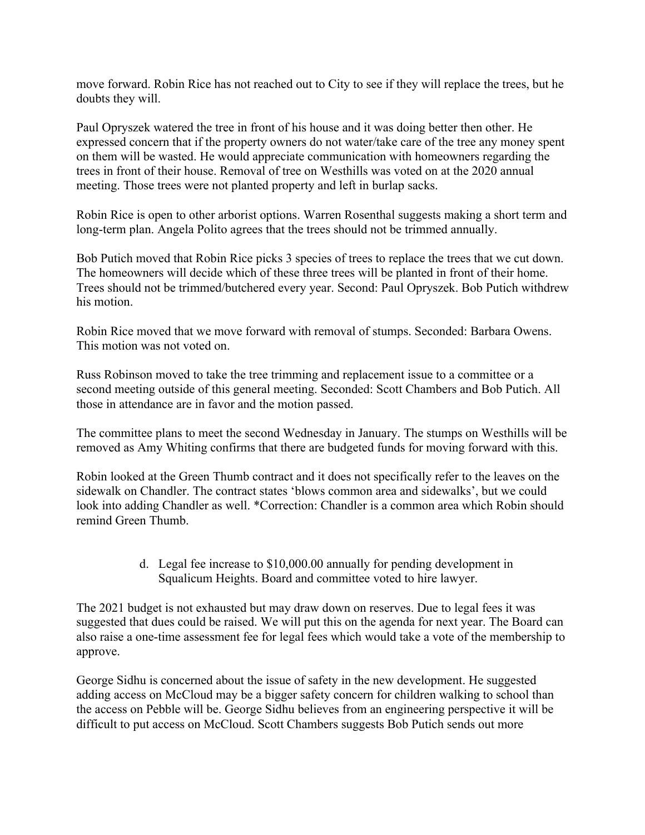move forward. Robin Rice has not reached out to City to see if they will replace the trees, but he doubts they will.

Paul Opryszek watered the tree in front of his house and it was doing better then other. He expressed concern that if the property owners do not water/take care of the tree any money spent on them will be wasted. He would appreciate communication with homeowners regarding the trees in front of their house. Removal of tree on Westhills was voted on at the 2020 annual meeting. Those trees were not planted property and left in burlap sacks.

Robin Rice is open to other arborist options. Warren Rosenthal suggests making a short term and long-term plan. Angela Polito agrees that the trees should not be trimmed annually.

Bob Putich moved that Robin Rice picks 3 species of trees to replace the trees that we cut down. The homeowners will decide which of these three trees will be planted in front of their home. Trees should not be trimmed/butchered every year. Second: Paul Opryszek. Bob Putich withdrew his motion.

Robin Rice moved that we move forward with removal of stumps. Seconded: Barbara Owens. This motion was not voted on.

Russ Robinson moved to take the tree trimming and replacement issue to a committee or a second meeting outside of this general meeting. Seconded: Scott Chambers and Bob Putich. All those in attendance are in favor and the motion passed.

The committee plans to meet the second Wednesday in January. The stumps on Westhills will be removed as Amy Whiting confirms that there are budgeted funds for moving forward with this.

Robin looked at the Green Thumb contract and it does not specifically refer to the leaves on the sidewalk on Chandler. The contract states 'blows common area and sidewalks', but we could look into adding Chandler as well. \*Correction: Chandler is a common area which Robin should remind Green Thumb.

> d. Legal fee increase to \$10,000.00 annually for pending development in Squalicum Heights. Board and committee voted to hire lawyer.

The 2021 budget is not exhausted but may draw down on reserves. Due to legal fees it was suggested that dues could be raised. We will put this on the agenda for next year. The Board can also raise a one-time assessment fee for legal fees which would take a vote of the membership to approve.

George Sidhu is concerned about the issue of safety in the new development. He suggested adding access on McCloud may be a bigger safety concern for children walking to school than the access on Pebble will be. George Sidhu believes from an engineering perspective it will be difficult to put access on McCloud. Scott Chambers suggests Bob Putich sends out more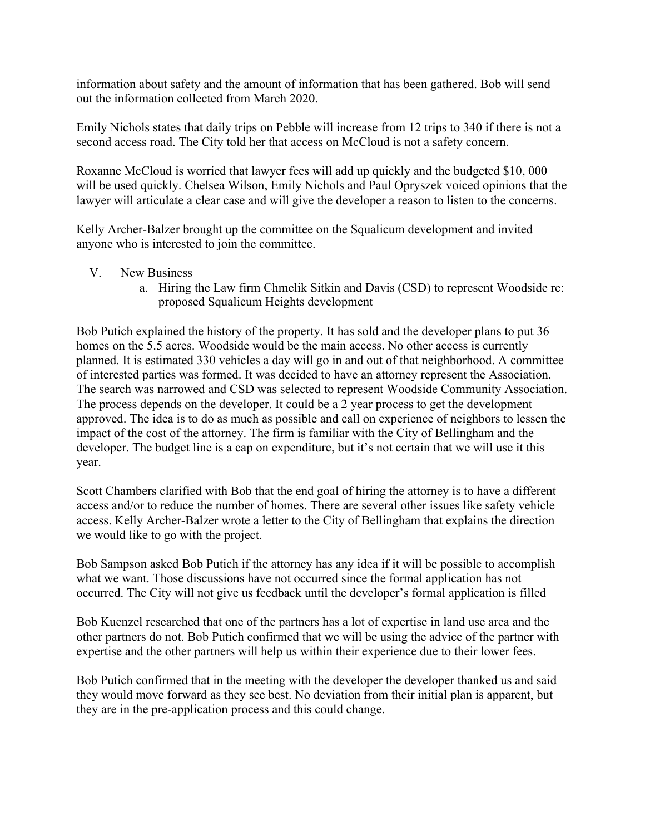information about safety and the amount of information that has been gathered. Bob will send out the information collected from March 2020.

Emily Nichols states that daily trips on Pebble will increase from 12 trips to 340 if there is not a second access road. The City told her that access on McCloud is not a safety concern.

Roxanne McCloud is worried that lawyer fees will add up quickly and the budgeted \$10, 000 will be used quickly. Chelsea Wilson, Emily Nichols and Paul Opryszek voiced opinions that the lawyer will articulate a clear case and will give the developer a reason to listen to the concerns.

Kelly Archer-Balzer brought up the committee on the Squalicum development and invited anyone who is interested to join the committee.

- V. New Business
	- a. Hiring the Law firm Chmelik Sitkin and Davis (CSD) to represent Woodside re: proposed Squalicum Heights development

Bob Putich explained the history of the property. It has sold and the developer plans to put 36 homes on the 5.5 acres. Woodside would be the main access. No other access is currently planned. It is estimated 330 vehicles a day will go in and out of that neighborhood. A committee of interested parties was formed. It was decided to have an attorney represent the Association. The search was narrowed and CSD was selected to represent Woodside Community Association. The process depends on the developer. It could be a 2 year process to get the development approved. The idea is to do as much as possible and call on experience of neighbors to lessen the impact of the cost of the attorney. The firm is familiar with the City of Bellingham and the developer. The budget line is a cap on expenditure, but it's not certain that we will use it this year.

Scott Chambers clarified with Bob that the end goal of hiring the attorney is to have a different access and/or to reduce the number of homes. There are several other issues like safety vehicle access. Kelly Archer-Balzer wrote a letter to the City of Bellingham that explains the direction we would like to go with the project.

Bob Sampson asked Bob Putich if the attorney has any idea if it will be possible to accomplish what we want. Those discussions have not occurred since the formal application has not occurred. The City will not give us feedback until the developer's formal application is filled

Bob Kuenzel researched that one of the partners has a lot of expertise in land use area and the other partners do not. Bob Putich confirmed that we will be using the advice of the partner with expertise and the other partners will help us within their experience due to their lower fees.

Bob Putich confirmed that in the meeting with the developer the developer thanked us and said they would move forward as they see best. No deviation from their initial plan is apparent, but they are in the pre-application process and this could change.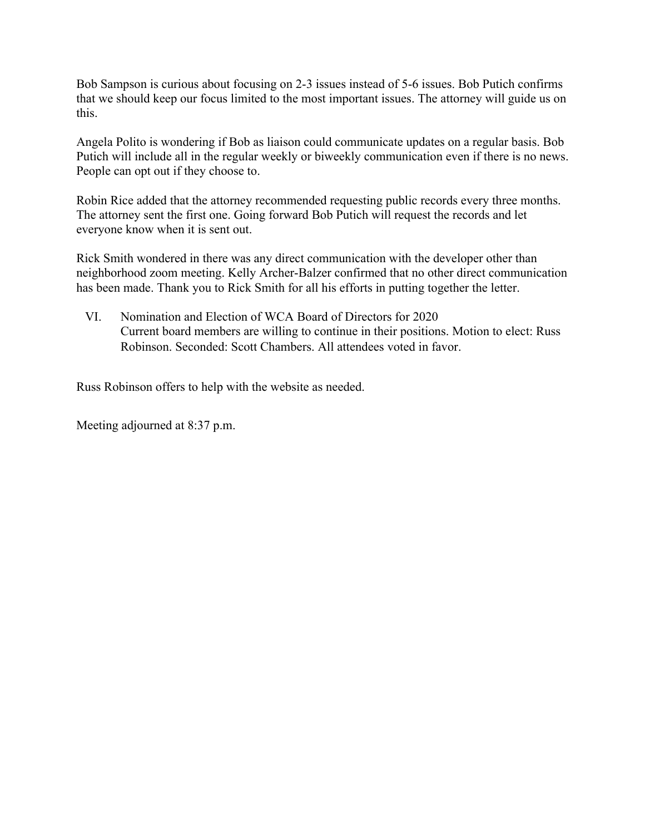Bob Sampson is curious about focusing on 2-3 issues instead of 5-6 issues. Bob Putich confirms that we should keep our focus limited to the most important issues. The attorney will guide us on this.

Angela Polito is wondering if Bob as liaison could communicate updates on a regular basis. Bob Putich will include all in the regular weekly or biweekly communication even if there is no news. People can opt out if they choose to.

Robin Rice added that the attorney recommended requesting public records every three months. The attorney sent the first one. Going forward Bob Putich will request the records and let everyone know when it is sent out.

Rick Smith wondered in there was any direct communication with the developer other than neighborhood zoom meeting. Kelly Archer-Balzer confirmed that no other direct communication has been made. Thank you to Rick Smith for all his efforts in putting together the letter.

VI. Nomination and Election of WCA Board of Directors for 2020 Current board members are willing to continue in their positions. Motion to elect: Russ Robinson. Seconded: Scott Chambers. All attendees voted in favor.

Russ Robinson offers to help with the website as needed.

Meeting adjourned at 8:37 p.m.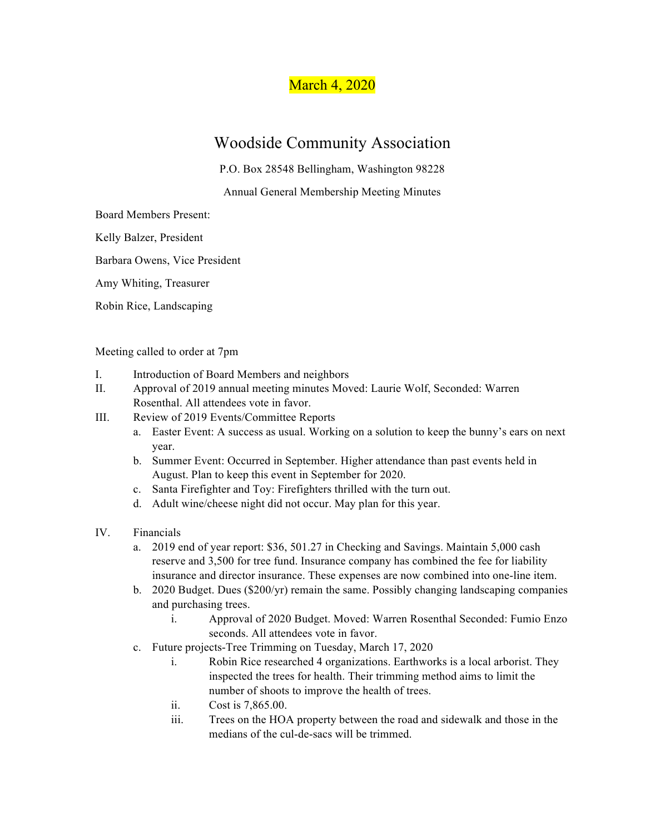## **March 4, 2020**

# Woodside Community Association

P.O. Box 28548 Bellingham, Washington 98228

Annual General Membership Meeting Minutes

Board Members Present:

Kelly Balzer, President

Barbara Owens, Vice President

Amy Whiting, Treasurer

Robin Rice, Landscaping

Meeting called to order at 7pm

- I. Introduction of Board Members and neighbors
- II. Approval of 2019 annual meeting minutes Moved: Laurie Wolf, Seconded: Warren Rosenthal. All attendees vote in favor.
- III. Review of 2019 Events/Committee Reports
	- a. Easter Event: A success as usual. Working on a solution to keep the bunny's ears on next year.
	- b. Summer Event: Occurred in September. Higher attendance than past events held in August. Plan to keep this event in September for 2020.
	- c. Santa Firefighter and Toy: Firefighters thrilled with the turn out.
	- d. Adult wine/cheese night did not occur. May plan for this year.
- IV. Financials
	- a. 2019 end of year report: \$36, 501.27 in Checking and Savings. Maintain 5,000 cash reserve and 3,500 for tree fund. Insurance company has combined the fee for liability insurance and director insurance. These expenses are now combined into one-line item.
	- b. 2020 Budget. Dues (\$200/yr) remain the same. Possibly changing landscaping companies and purchasing trees.
		- i. Approval of 2020 Budget. Moved: Warren Rosenthal Seconded: Fumio Enzo seconds. All attendees vote in favor.
	- c. Future projects-Tree Trimming on Tuesday, March 17, 2020
		- i. Robin Rice researched 4 organizations. Earthworks is a local arborist. They inspected the trees for health. Their trimming method aims to limit the number of shoots to improve the health of trees.
		- ii. Cost is 7,865.00.
		- iii. Trees on the HOA property between the road and sidewalk and those in the medians of the cul-de-sacs will be trimmed.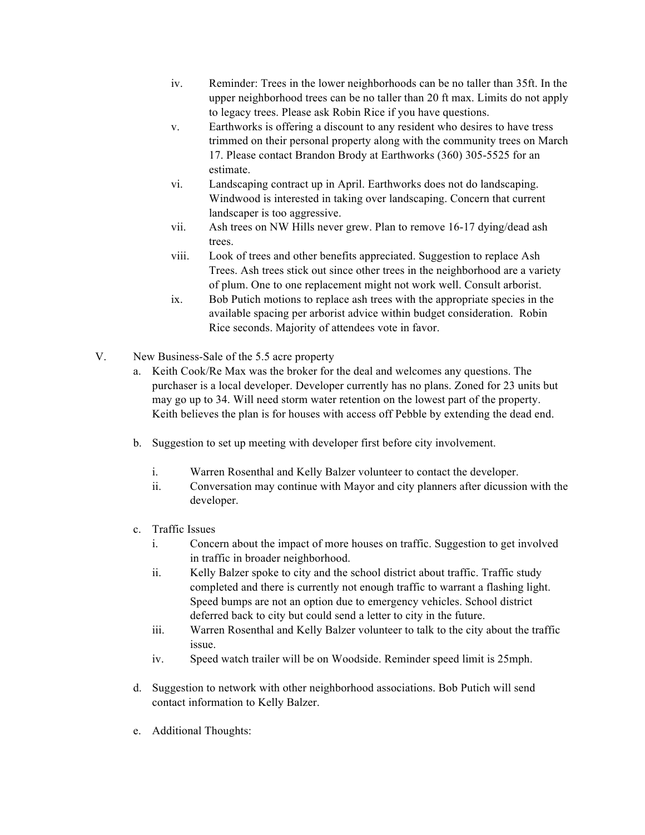- iv. Reminder: Trees in the lower neighborhoods can be no taller than 35ft. In the upper neighborhood trees can be no taller than 20 ft max. Limits do not apply to legacy trees. Please ask Robin Rice if you have questions.
- v. Earthworks is offering a discount to any resident who desires to have tress trimmed on their personal property along with the community trees on March 17. Please contact Brandon Brody at Earthworks (360) 305-5525 for an estimate.
- vi. Landscaping contract up in April. Earthworks does not do landscaping. Windwood is interested in taking over landscaping. Concern that current landscaper is too aggressive.
- vii. Ash trees on NW Hills never grew. Plan to remove 16-17 dying/dead ash trees.
- viii. Look of trees and other benefits appreciated. Suggestion to replace Ash Trees. Ash trees stick out since other trees in the neighborhood are a variety of plum. One to one replacement might not work well. Consult arborist.
- ix. Bob Putich motions to replace ash trees with the appropriate species in the available spacing per arborist advice within budget consideration. Robin Rice seconds. Majority of attendees vote in favor.
- V. New Business-Sale of the 5.5 acre property
	- a. Keith Cook/Re Max was the broker for the deal and welcomes any questions. The purchaser is a local developer. Developer currently has no plans. Zoned for 23 units but may go up to 34. Will need storm water retention on the lowest part of the property. Keith believes the plan is for houses with access off Pebble by extending the dead end.
	- b. Suggestion to set up meeting with developer first before city involvement.
		- i. Warren Rosenthal and Kelly Balzer volunteer to contact the developer.
		- ii. Conversation may continue with Mayor and city planners after dicussion with the developer.
	- c. Traffic Issues
		- i. Concern about the impact of more houses on traffic. Suggestion to get involved in traffic in broader neighborhood.
		- ii. Kelly Balzer spoke to city and the school district about traffic. Traffic study completed and there is currently not enough traffic to warrant a flashing light. Speed bumps are not an option due to emergency vehicles. School district deferred back to city but could send a letter to city in the future.
		- iii. Warren Rosenthal and Kelly Balzer volunteer to talk to the city about the traffic issue.
		- iv. Speed watch trailer will be on Woodside. Reminder speed limit is 25mph.
	- d. Suggestion to network with other neighborhood associations. Bob Putich will send contact information to Kelly Balzer.
	- e. Additional Thoughts: